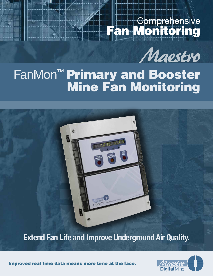# **Comprehensive** Fan Monitoring



# FanMon™ Primary and Booster Mine Fan Monitoring



## **Extend Fan Life and Improve Underground Air Quality.**

**Digital Mine** 

Improved real time data means more time at the face.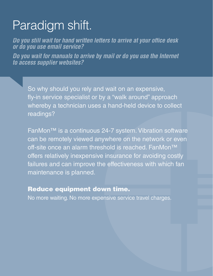# Paradigm shift.

*Do you still wait for hand written letters to arrive at your office desk or do you use email service?*

*Do you wait for manuals to arrive by mail or do you use the Internet to access supplier websites?*

So why should you rely and wait on an expensive, fly-in service specialist or by a "walk around" approach whereby a technician uses a hand-held device to collect readings?

FanMon™ is a continuous 24-7 system. Vibration software can be remotely viewed anywhere on the network or even off-site once an alarm threshold is reached. FanMon<sup>™</sup> offers relatively inexpensive insurance for avoiding costly failures and can improve the effectiveness with which fan maintenance is planned.

### Reduce equipment down time.

No more waiting. No more expensive service travel charges.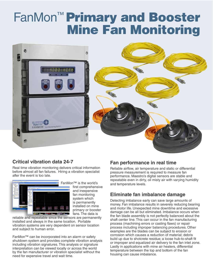# FanMon™ Primary and Booster Mine Fan Monitoring



#### **Critical vibration data 24-7**

Real time vibration monitoring delivers critical information before almost all fan failures. Hiring a vibration specialist after the event is too late.



FanMon™ is the world's first comprehensive and inexpensive fan monitoring system which is permanently installed on mine primary or booster fans. The data is

reliable and repeatable since the sensors are permanently installed and always in the same location. Portable vibration systems are very dependent on sensor location and subject to human error.

FanMon™ can be incorporated into an alarm or safety shutdown system and provides complete vibration analysis including vibration signatures. This analysis or signature interpretation can be viewed locally or across the world by the fan manufacturer or vibration specialist without the need for expensive travel and wait time.

#### **Fan performance in real time**

Reliable airflow, air temperature and static or differential pressure measurement is required to measure fan performance. Maestro's digital sensors are stable and repeatable even in dirty, oil misty air with varying humidity and temperature levels.

#### **Eliminate fan imbalance damage**

Detecting imbalance early can save large amounts of money. Fan imbalance results in severely reducing bearing and motor life. Unexpected mine downtime and excessive damage can be all but eliminated. Imbalance occurs when the fan blade assembly is not perfectly balanced about the shaft center line. This can occur in the fan manufacturing process (machining errors or casting flaws) or repair process including improper balancing procedures. Other examples are the blades can be subject to erosion or corrosion which causes a reduction of material; debris build up due to shotcrete residue; a loose hub-to-shaft fit or improper and equalized air delivery to the fan inlet zone. Lastly in applications with mine air heaters, differential temperature between the top and bottom of the fan housing can cause imbalance.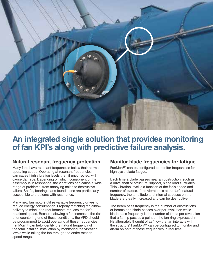

## **An integrated single solution that provides monitoring of fan KPI's along with predictive failure analysis.**

#### **Natural resonant frequency protection**

Many fans have resonant frequencies below their normal operating speed. Operating at resonant frequencies can cause high vibration levels that, if uncorrected, will cause damage. Depending on which component of the assembly is in resonance, the vibrations can cause a wide range of problems, from annoying noise to destructive failure. Shafts, bearings, and foundations are particularly susceptible to problems with resonance.

Many new fan motors utilize variable frequency drives to reduce energy consumption. Properly matching fan airflow delivery to mine load requirements reduces the fan's rotational speed. Because slowing a fan increases the risk of encountering one of these conditions, the VFD should be programmed to avoid operating at these frequencies. FanMon™ can help identify the natural frequency of the total installed installation by monitoring the vibration levels while taking the fan through the entire rotation speed range.

#### **Monitor blade frequencies for fatigue**

FanMon™ can be configured to monitor frequencies for high cycle blade fatigue.

Each time a blade passes near an obstruction, such as a drive shaft or structural support, blade load fluctuates. This vibration level is a function of the fan's speed and number of blades. If the vibration is at the fan's natural frequency, the amplitude and internal stresses on the blade are greatly increased and can be destructive.

The beam pass frequency is the number of obstructions or beams one blade passes over per revolution while blade pass frequency is the number of times per revolution that a fan tip passes a point on the fan ring expressed in Hz alternately thought of as "how the fan interacts with the structure". FanMon™ can be configured to monitor and alarm on both of these frequencies in real time.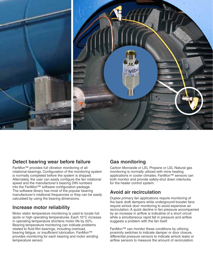

#### **Detect bearing wear before failure**

FanMon™ provides full vibration monitoring of all rotational bearings. Configuration of the monitoring system is normally completed before the system is shipped. Alternately, the user can easily configure the fan rotational speed and the manufacturer's bearing DIN numbers into the FanMon™ software configuration package. The software library has most of the popular bearing manufacturer's rotational frequencies or they can be easily calculated by using the bearing dimensions.

#### **Increase motor reliability**

Motor stator temperature monitoring is used to locate hot spots or high operating temperatures. Each 10°C increase in operating temperature shortens motor life by 50%. Bearing temperature monitoring can indicate problems related to fluid-film bearings, including overload, bearing fatigue, or insufficient lubrication. FanMon™ provides monitoring for each bearing and motor winding temperature sensor.

#### **Gas monitoring**

Carbon Monoxide or LEL Propane or LEL Natural gas monitoring is normally utilized with mine heating applications in cooler climates. FanMon™ sensors can both monitor and provide safety-shut down interlocks for the heater control system.

#### **Avoid air recirculation**

Duplex primary fan applications require monitoring of the back draft dampers while underground booster fans require airlock door monitoring to avoid expensive air recirculation. A quick decline in fan pressure accompanied by an increase in airflow is indicative of a short circuit while a simultaneous rapid fall in pressure and airflow suggests a problem with the fan itself.

FanMon™ can monitor these conditions by utilizing proximity switches to indicate damper or door closure, differential pressure sensors to indicate airlock leaks or airflow sensors to measure the amount of recirculation.